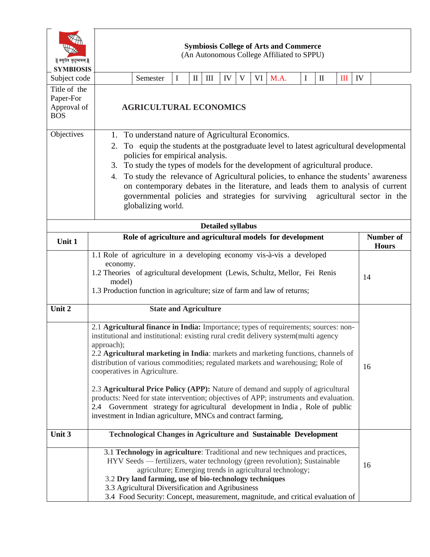| वसुधैव कुटुम्बकम्   <br><b>SYMBIOSIS</b>               |                                                                                                                                                                                                                                                                                                                                                                                                                                                                                                                                                                               | <b>Symbiosis College of Arts and Commerce</b><br>(An Autonomous College Affiliated to SPPU)                                                                                                                                                            |          |              |     |    |   |    |      |   |                                  |   |    |  |
|--------------------------------------------------------|-------------------------------------------------------------------------------------------------------------------------------------------------------------------------------------------------------------------------------------------------------------------------------------------------------------------------------------------------------------------------------------------------------------------------------------------------------------------------------------------------------------------------------------------------------------------------------|--------------------------------------------------------------------------------------------------------------------------------------------------------------------------------------------------------------------------------------------------------|----------|--------------|-----|----|---|----|------|---|----------------------------------|---|----|--|
| Subject code                                           |                                                                                                                                                                                                                                                                                                                                                                                                                                                                                                                                                                               | Semester                                                                                                                                                                                                                                               | $\bf{I}$ | $\mathbf{I}$ | III | IV | V | VI | M.A. | I | $\mathbf{I}$                     | Ш | IV |  |
| Title of the<br>Paper-For<br>Approval of<br><b>BOS</b> |                                                                                                                                                                                                                                                                                                                                                                                                                                                                                                                                                                               | <b>AGRICULTURAL ECONOMICS</b>                                                                                                                                                                                                                          |          |              |     |    |   |    |      |   |                                  |   |    |  |
| Objectives                                             | 1. To understand nature of Agricultural Economics.<br>To equip the students at the postgraduate level to latest agricultural developmental<br>2.<br>policies for empirical analysis.<br>To study the types of models for the development of agricultural produce.<br>3.<br>To study the relevance of Agricultural policies, to enhance the students' awareness<br>4.<br>on contemporary debates in the literature, and leads them to analysis of current<br>governmental policies and strategies for surviving agricultural sector in the<br>globalizing world.               |                                                                                                                                                                                                                                                        |          |              |     |    |   |    |      |   |                                  |   |    |  |
| <b>Detailed syllabus</b>                               |                                                                                                                                                                                                                                                                                                                                                                                                                                                                                                                                                                               |                                                                                                                                                                                                                                                        |          |              |     |    |   |    |      |   |                                  |   |    |  |
| Unit 1                                                 |                                                                                                                                                                                                                                                                                                                                                                                                                                                                                                                                                                               | Role of agriculture and agricultural models for development                                                                                                                                                                                            |          |              |     |    |   |    |      |   | <b>Number of</b><br><b>Hours</b> |   |    |  |
|                                                        |                                                                                                                                                                                                                                                                                                                                                                                                                                                                                                                                                                               | 1.1 Role of agriculture in a developing economy vis-à-vis a developed<br>economy.<br>1.2 Theories of agricultural development (Lewis, Schultz, Mellor, Fei Renis<br>model)<br>1.3 Production function in agriculture; size of farm and law of returns; |          |              |     |    |   |    |      |   |                                  |   | 14 |  |
| Unit 2                                                 |                                                                                                                                                                                                                                                                                                                                                                                                                                                                                                                                                                               | <b>State and Agriculture</b>                                                                                                                                                                                                                           |          |              |     |    |   |    |      |   |                                  |   |    |  |
|                                                        | 2.1 Agricultural finance in India: Importance; types of requirements; sources: non-<br>institutional and institutional: existing rural credit delivery system(multi agency<br>approach);<br>2.2 Agricultural marketing in India: markets and marketing functions, channels of<br>distribution of various commodities; regulated markets and warehousing; Role of<br>cooperatives in Agriculture.<br>2.3 Agricultural Price Policy (APP): Nature of demand and supply of agricultural<br>products: Need for state intervention; objectives of APP; instruments and evaluation. |                                                                                                                                                                                                                                                        |          |              |     |    |   |    | 16   |   |                                  |   |    |  |
|                                                        | 2.4<br>investment in Indian agriculture, MNCs and contract farming,                                                                                                                                                                                                                                                                                                                                                                                                                                                                                                           | Government strategy for agricultural development in India, Role of public                                                                                                                                                                              |          |              |     |    |   |    |      |   |                                  |   |    |  |
| Unit 3                                                 |                                                                                                                                                                                                                                                                                                                                                                                                                                                                                                                                                                               | <b>Technological Changes in Agriculture and Sustainable Development</b>                                                                                                                                                                                |          |              |     |    |   |    |      |   |                                  |   |    |  |
|                                                        | 3.1 Technology in agriculture: Traditional and new techniques and practices,<br>HYV Seeds — fertilizers, water technology (green revolution); Sustainable<br>agriculture; Emerging trends in agricultural technology;<br>3.2 Dry land farming, use of bio-technology techniques<br>3.3 Agricultural Diversification and Agribusiness<br>3.4 Food Security: Concept, measurement, magnitude, and critical evaluation of                                                                                                                                                        |                                                                                                                                                                                                                                                        |          |              |     |    |   |    | 16   |   |                                  |   |    |  |